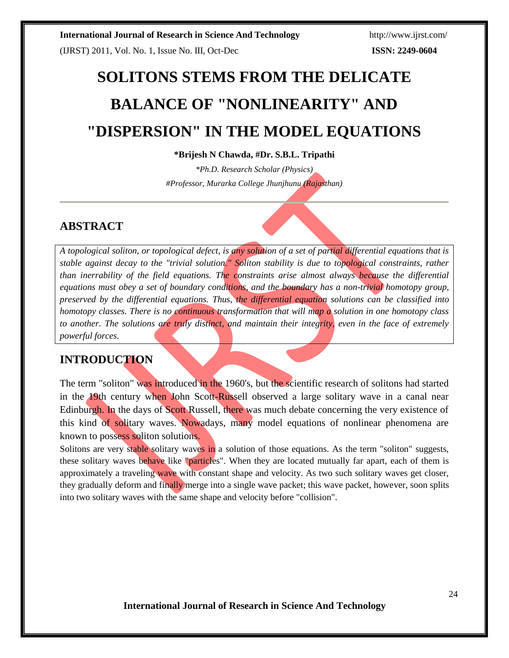(IJRST) 2011, Vol. No. 1, Issue No. III, Oct-Dec **ISSN: 2249-0604**

# **SOLITONS STEMS FROM THE DELICATE BALANCE OF "NONLINEARITY" AND "DISPERSION" IN THE MODEL EQUATIONS**

## **\*Brijesh N Chawda, #Dr. S.B.L. Tripathi**

*\*Ph.D. Research Scholar (Physics) #Professor, Murarka College Jhunjhunu (Rajasthan)*

# **ABSTRACT**

*A topological soliton, or topological defect, is any solution of a set of partial differential equations that is stable against decay to the "trivial solution." Soliton stability is due to topological constraints, rather than inerrability of the field equations. The constraints arise almost always because the differential equations must obey a set of boundary conditions, and the boundary has a non-trivial homotopy group, preserved by the differential equations. Thus, the differential equation solutions can be classified into homotopy classes. There is no continuous transformation that will map a solution in one homotopy class to another. The solutions are truly distinct, and maintain their integrity, even in the face of extremely powerful forces.*

# **INTRODUCTION**

The term "soliton" was introduced in the 1960's, but the scientific research of solitons had started in the 19th century when John Scott-Russell observed a large solitary wave in a canal near Edinburgh. In the days of Scott Russell, there was much debate concerning the very existence of this kind of solitary waves. Nowadays, many model equations of nonlinear phenomena are known to possess soliton solutions.

Solitons are very stable solitary waves in a solution of those equations. As the term "soliton" suggests, these solitary waves behave like "particles". When they are located mutually far apart, each of them is approximately a traveling wave with constant shape and velocity. As two such solitary waves get closer, they gradually deform and finally merge into a single wave packet; this wave packet, however, soon splits into two solitary waves with the same shape and velocity before "collision".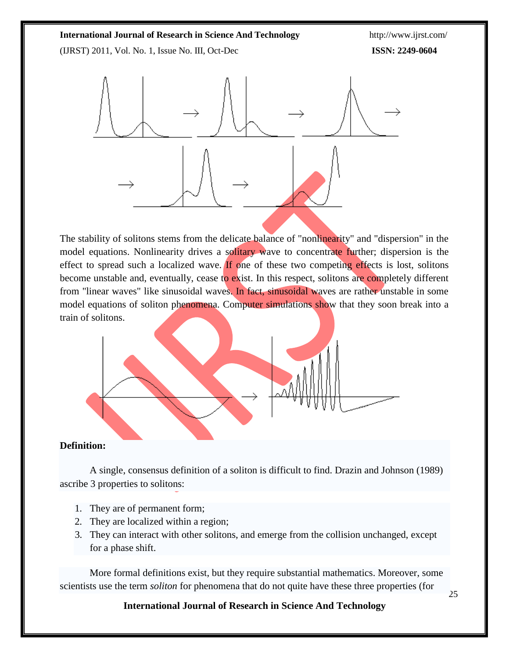(IJRST) 2011, Vol. No. 1, Issue No. III, Oct-Dec **ISSN: 2249-0604**



The stability of solitons stems from the delicate balance of "nonlinearity" and "dispersion" in the model equations. Nonlinearity drives a solitary wave to concentrate further; dispersion is the effect to spread such a localized wave. If one of these two competing effects is lost, solitons become unstable and, eventually, cease to exist. In this respect, solitons are completely different from "linear waves" like sinusoidal waves. In fact, sinusoidal waves are rather unstable in some model equations of soliton phenomena. Computer simulations show that they soon break into a train of solitons.



# **Definition:**

A single, consensus definition of a soliton is difficult to find. Drazin and Johnson (1989) ascribe 3 properties to solitons:

- 1. They are of permanent form;
- 2. They are localized within a region;
- 3. They can interact with other solitons, and emerge from the collision unchanged, except for a phase shift.

More formal definitions exist, but they require substantial mathematics. Moreover, some scientists use the term *soliton* for phenomena that do not quite have these three properties (for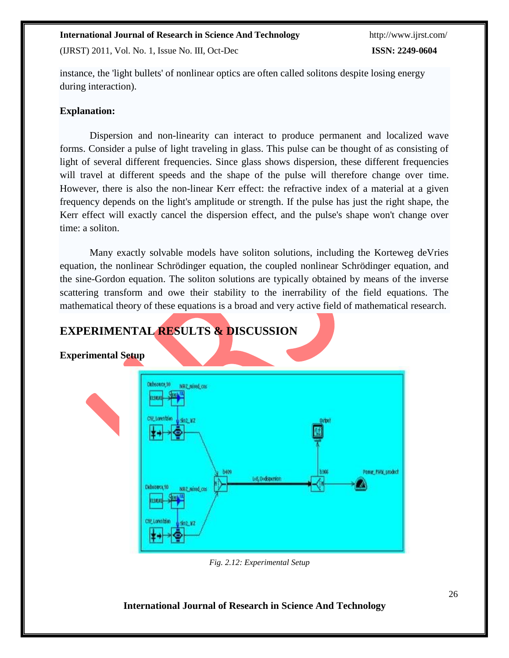(IJRST) 2011, Vol. No. 1, Issue No. III, Oct-Dec **ISSN: 2249-0604**

instance, the 'light bullets' of nonlinear optics are often called solitons despite losing energy during interaction).

# **Explanation:**

Dispersion and non-linearity can interact to produce permanent and localized wave forms. Consider a pulse of light traveling in glass. This pulse can be thought of as consisting of light of several different frequencies. Since glass shows dispersion, these different frequencies will travel at different speeds and the shape of the pulse will therefore change over time. However, there is also the non-linear Kerr effect: the refractive index of a material at a given frequency depends on the light's amplitude or strength. If the pulse has just the right shape, the Kerr effect will exactly cancel the dispersion effect, and the pulse's shape won't change over time: a soliton.

Many exactly solvable models have soliton solutions, including the Korteweg deVries equation, the nonlinear Schrödinger equation, the coupled nonlinear Schrödinger equation, and the sine-Gordon equation. The soliton solutions are typically obtained by means of the inverse scattering transform and owe their stability to the inerrability of the field equations. The mathematical theory of these equations is a broad and very active field of mathematical research.



*Fig. 2.12: Experimental Setup*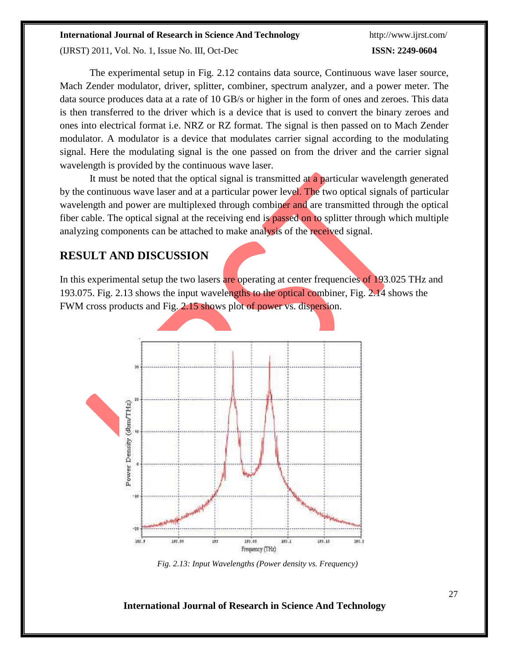(IJRST) 2011, Vol. No. 1, Issue No. III, Oct-Dec **ISSN: 2249-0604**

The experimental setup in Fig. 2.12 contains data source, Continuous wave laser source, Mach Zender modulator, driver, splitter, combiner, spectrum analyzer, and a power meter. The data source produces data at a rate of 10 GB/s or higher in the form of ones and zeroes. This data is then transferred to the driver which is a device that is used to convert the binary zeroes and ones into electrical format i.e. NRZ or RZ format. The signal is then passed on to Mach Zender modulator. A modulator is a device that modulates carrier signal according to the modulating signal. Here the modulating signal is the one passed on from the driver and the carrier signal wavelength is provided by the continuous wave laser.

It must be noted that the optical signal is transmitted at a particular wavelength generated by the continuous wave laser and at a particular power level. The two optical signals of particular wavelength and power are multiplexed through combiner and are transmitted through the optical fiber cable. The optical signal at the receiving end is passed on to splitter through which multiple analyzing components can be attached to make analysis of the received signal.

# **RESULT AND DISCUSSION**

In this experimental setup the two lasers are operating at center frequencies of 193.025 THz and 193.075. Fig. 2.13 shows the input wavelengths to the optical combiner, Fig. 2.14 shows the FWM cross products and Fig. 2.15 shows plot of power vs. dispersion.



*Fig. 2.13: Input Wavelengths (Power density vs. Frequency)*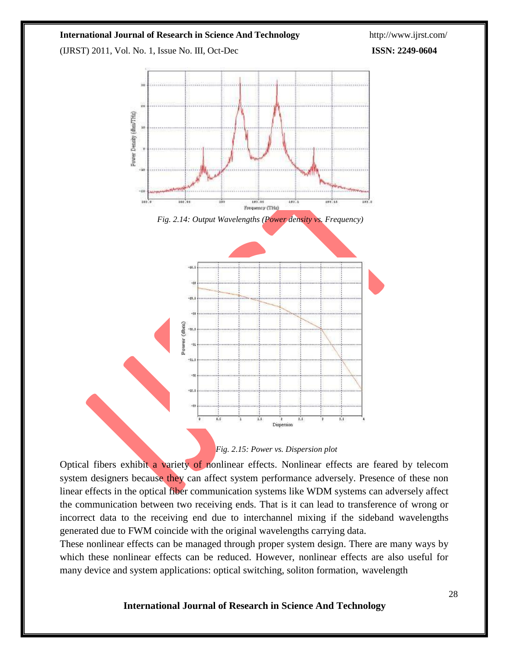(IJRST) 2011, Vol. No. 1, Issue No. III, Oct-Dec **ISSN: 2249-0604**





Optical fibers exhibit a variety of nonlinear effects. Nonlinear effects are feared by telecom system designers because they can affect system performance adversely. Presence of these non linear effects in the optical fiber communication systems like WDM systems can adversely affect the communication between two receiving ends. That is it can lead to transference of wrong or incorrect data to the receiving end due to interchannel mixing if the sideband wavelengths generated due to FWM coincide with the original wavelengths carrying data.

These nonlinear effects can be managed through proper system design. There are many ways by which these nonlinear effects can be reduced. However, nonlinear effects are also useful for many device and system applications: optical switching, soliton formation, wavelength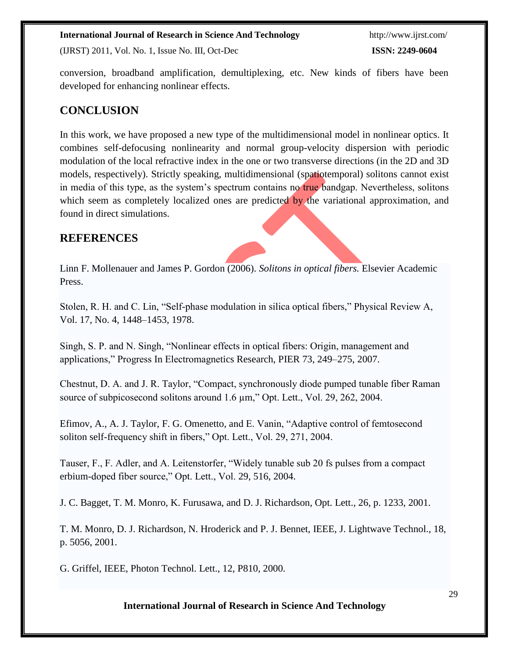(IJRST) 2011, Vol. No. 1, Issue No. III, Oct-Dec **ISSN: 2249-0604**

conversion, broadband amplification, demultiplexing, etc. New kinds of fibers have been developed for enhancing nonlinear effects.

# **CONCLUSION**

In this work, we have proposed a new type of the multidimensional model in nonlinear optics. It combines self-defocusing nonlinearity and normal group-velocity dispersion with periodic modulation of the local refractive index in the one or two transverse directions (in the 2D and 3D models, respectively). Strictly speaking, multidimensional (spatiotemporal) solitons cannot exist in media of this type, as the system's spectrum contains no true bandgap. Nevertheless, solitons which seem as completely localized ones are predicted by the variational approximation, and found in direct simulations.

# **REFERENCES**

Linn F. Mollenauer and James P. Gordon (2006). *Solitons in optical fibers.* Elsevier Academic Press.

Stolen, R. H. and C. Lin, "Self-phase modulation in silica optical fibers," Physical Review A, Vol. 17, No. 4, 1448–1453, 1978.

Singh, S. P. and N. Singh, "Nonlinear effects in optical fibers: Origin, management and applications," Progress In Electromagnetics Research, PIER 73, 249–275, 2007.

Chestnut, D. A. and J. R. Taylor, "Compact, synchronously diode pumped tunable fiber Raman source of subpicosecond solitons around 1.6  $\mu$ m," Opt. Lett., Vol. 29, 262, 2004.

Efimov, A., A. J. Taylor, F. G. Omenetto, and E. Vanin, "Adaptive control of femtosecond soliton self-frequency shift in fibers," Opt. Lett., Vol. 29, 271, 2004.

Tauser, F., F. Adler, and A. Leitenstorfer, "Widely tunable sub 20 fs pulses from a compact erbium-doped fiber source," Opt. Lett., Vol. 29, 516, 2004.

J. C. Bagget, T. M. Monro, K. Furusawa, and D. J. Richardson, Opt. Lett., 26, p. 1233, 2001.

T. M. Monro, D. J. Richardson, N. Hroderick and P. J. Bennet, IEEE, J. Lightwave Technol., 18, p. 5056, 2001.

G. Griffel, IEEE, Photon Technol. Lett., 12, P810, 2000.